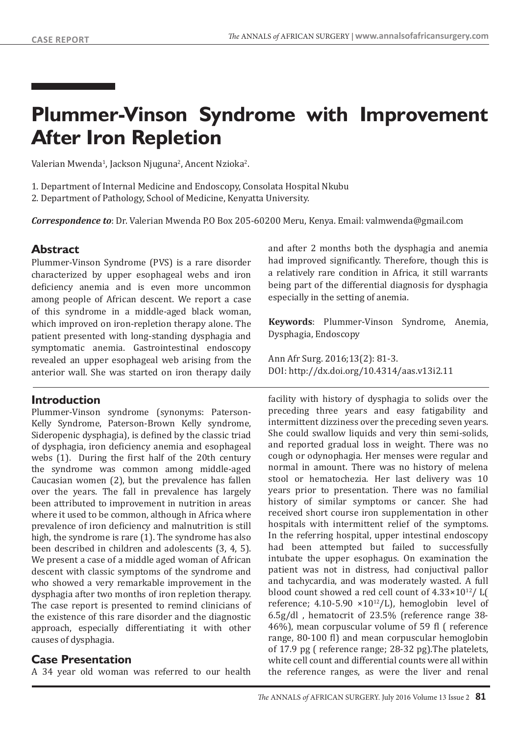# **Plummer-Vinson Syndrome with Improvement After Iron Repletion**

Valerian Mwenda<sup>1</sup>, Jackson Njuguna<sup>2</sup>, Ancent Nzioka<sup>2</sup>.

1. Department of Internal Medicine and Endoscopy, Consolata Hospital Nkubu 2. Department of Pathology, School of Medicine, Kenyatta University.

*Correspondence to*: Dr. Valerian Mwenda P.O Box 205-60200 Meru, Kenya. Email: valmwenda@gmail.com

## **Abstract**

Plummer-Vinson Syndrome (PVS) is a rare disorder characterized by upper esophageal webs and iron deficiency anemia and is even more uncommon among people of African descent. We report a case of this syndrome in a middle-aged black woman, which improved on iron-repletion therapy alone. The patient presented with long-standing dysphagia and symptomatic anemia. Gastrointestinal endoscopy revealed an upper esophageal web arising from the anterior wall. She was started on iron therapy daily

## **Introduction**

Plummer-Vinson syndrome (synonyms: Paterson-Kelly Syndrome, Paterson-Brown Kelly syndrome, Sideropenic dysphagia), is defined by the classic triad of dysphagia, iron deficiency anemia and esophageal webs (1). During the first half of the 20th century the syndrome was common among middle-aged Caucasian women (2), but the prevalence has fallen over the years. The fall in prevalence has largely been attributed to improvement in nutrition in areas where it used to be common, although in Africa where prevalence of iron deficiency and malnutrition is still high, the syndrome is rare (1). The syndrome has also been described in children and adolescents (3, 4, 5). We present a case of a middle aged woman of African descent with classic symptoms of the syndrome and who showed a very remarkable improvement in the dysphagia after two months of iron repletion therapy. The case report is presented to remind clinicians of the existence of this rare disorder and the diagnostic approach, especially differentiating it with other causes of dysphagia.

## **Case Presentation**

A 34 year old woman was referred to our health

and after 2 months both the dysphagia and anemia had improved significantly. Therefore, though this is a relatively rare condition in Africa, it still warrants being part of the differential diagnosis for dysphagia especially in the setting of anemia.

**Keywords**: Plummer-Vinson Syndrome, Anemia, Dysphagia, Endoscopy

Ann Afr Surg. 2016;13(2): 81-3. DOI: http://dx.doi.org/10.4314/aas.v13i2.11

facility with history of dysphagia to solids over the preceding three years and easy fatigability and intermittent dizziness over the preceding seven years. She could swallow liquids and very thin semi-solids, and reported gradual loss in weight. There was no cough or odynophagia. Her menses were regular and normal in amount. There was no history of melena stool or hematochezia. Her last delivery was 10 years prior to presentation. There was no familial history of similar symptoms or cancer. She had received short course iron supplementation in other hospitals with intermittent relief of the symptoms. In the referring hospital, upper intestinal endoscopy had been attempted but failed to successfully intubate the upper esophagus. On examination the patient was not in distress, had conjuctival pallor and tachycardia, and was moderately wasted. A full blood count showed a red cell count of  $4.33 \times 10^{12}$ / L( reference; 4.10-5.90  $\times 10^{12}/L$ ), hemoglobin level of 6.5g/dl , hematocrit of 23.5% (reference range 38- 46%), mean corpuscular volume of 59 fl ( reference range, 80-100 fl) and mean corpuscular hemoglobin of 17.9 pg ( reference range; 28-32 pg).The platelets, white cell count and differential counts were all within the reference ranges, as were the liver and renal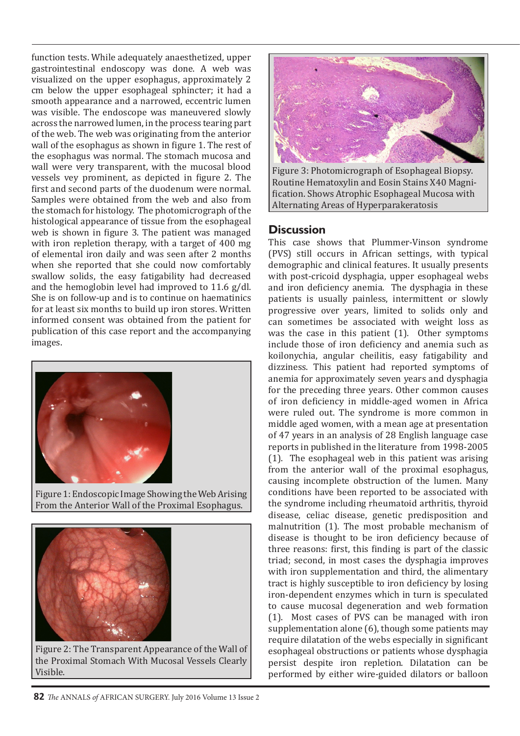function tests. While adequately anaesthetized, upper gastrointestinal endoscopy was done. A web was visualized on the upper esophagus, approximately 2 cm below the upper esophageal sphincter; it had a smooth appearance and a narrowed, eccentric lumen was visible. The endoscope was maneuvered slowly across the narrowed lumen, in the process tearing part of the web. The web was originating from the anterior wall of the esophagus as shown in figure 1. The rest of the esophagus was normal. The stomach mucosa and wall were very transparent, with the mucosal blood vessels vey prominent, as depicted in figure 2. The first and second parts of the duodenum were normal. Samples were obtained from the web and also from the stomach for histology. The photomicrograph of the histological appearance of tissue from the esophageal web is shown in figure 3. The patient was managed with iron repletion therapy, with a target of 400 mg of elemental iron daily and was seen after 2 months when she reported that she could now comfortably swallow solids, the easy fatigability had decreased and the hemoglobin level had improved to 11.6 g/dl. She is on follow-up and is to continue on haematinics for at least six months to build up iron stores. Written informed consent was obtained from the patient for publication of this case report and the accompanying images.



Figure 1: Endoscopic Image Showing the Web Arising From the Anterior Wall of the Proximal Esophagus.



Figure 2: The Transparent Appearance of the Wall of the Proximal Stomach With Mucosal Vessels Clearly Visible.



Figure 3: Photomicrograph of Esophageal Biopsy. Routine Hematoxylin and Eosin Stains X40 Magnification. Shows Atrophic Esophageal Mucosa with Alternating Areas of Hyperparakeratosis

#### **Discussion**

This case shows that Plummer-Vinson syndrome (PVS) still occurs in African settings, with typical demographic and clinical features. It usually presents with post-cricoid dysphagia, upper esophageal webs and iron deficiency anemia. The dysphagia in these patients is usually painless, intermittent or slowly progressive over years, limited to solids only and can sometimes be associated with weight loss as was the case in this patient (1). Other symptoms include those of iron deficiency and anemia such as koilonychia, angular cheilitis, easy fatigability and dizziness. This patient had reported symptoms of anemia for approximately seven years and dysphagia for the preceding three years. Other common causes of iron deficiency in middle-aged women in Africa were ruled out. The syndrome is more common in middle aged women, with a mean age at presentation of 47 years in an analysis of 28 English language case reports in published in the literature from 1998-2005 (1). The esophageal web in this patient was arising from the anterior wall of the proximal esophagus, causing incomplete obstruction of the lumen. Many conditions have been reported to be associated with the syndrome including rheumatoid arthritis, thyroid disease, celiac disease, genetic predisposition and malnutrition (1). The most probable mechanism of disease is thought to be iron deficiency because of three reasons: first, this finding is part of the classic triad; second, in most cases the dysphagia improves with iron supplementation and third, the alimentary tract is highly susceptible to iron deficiency by losing iron-dependent enzymes which in turn is speculated to cause mucosal degeneration and web formation (1). Most cases of PVS can be managed with iron supplementation alone (6), though some patients may require dilatation of the webs especially in significant esophageal obstructions or patients whose dysphagia persist despite iron repletion. Dilatation can be performed by either wire-guided dilators or balloon